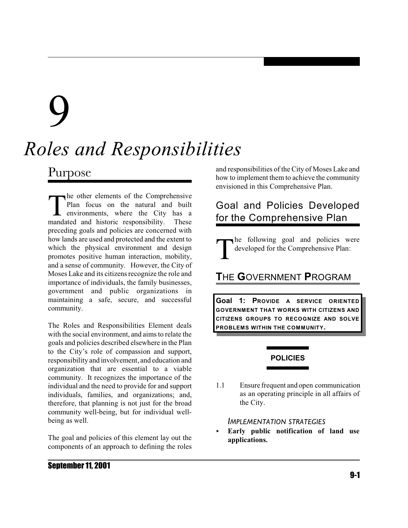# 9

# *Roles and Responsibilities*

# Purpose

The other elements of the Comprehensive<br>
Plan focus on the natural and built<br>
environments, where the City has a<br>
mandated and historic responsibility. These he other elements of the Comprehensive Plan focus on the natural and built environments, where the City has a preceding goals and policies are concerned with how lands are used and protected and the extent to which the physical environment and design promotes positive human interaction, mobility, and a sense of community. However, the City of Moses Lake and its citizens recognize the role and importance of individuals, the family businesses, government and public organizations in maintaining a safe, secure, and successful community.

The Roles and Responsibilities Element deals with the social environment, and aims to relate the goals and policies described elsewhere in the Plan to the City's role of compassion and support, responsibility and involvement, and education and organization that are essential to a viable community. It recognizes the importance of the individual and the need to provide for and support individuals, families, and organizations; and, therefore, that planning is not just for the broad community well-being, but for individual wellbeing as well.

The goal and policies of this element lay out the components of an approach to defining the roles and responsibilities of the City of Moses Lake and how to implement them to achieve the community envisioned in this Comprehensive Plan.

# Goal and Policies Developed for the Comprehensive Plan

T he following goal and policies were developed for the Comprehensive Plan:

# **T**HE **G**OVERNMENT **P**ROGRAM

**Goal 1: PROVIDE A SERVICE ORIENTED GOVERNMENT THAT WORKS WITH CITIZENS AND CITIZENS GROUPS TO RECOGNIZE AND SOLVE PROBLEMS WITHIN THE COMMUNITY.**

# **POLICIES**

1.1 Ensure frequent and open communication as an operating principle in all affairs of the City.

### *IMPLEMENTATION STRATEGIES*

< **Early public notification of land use applications.**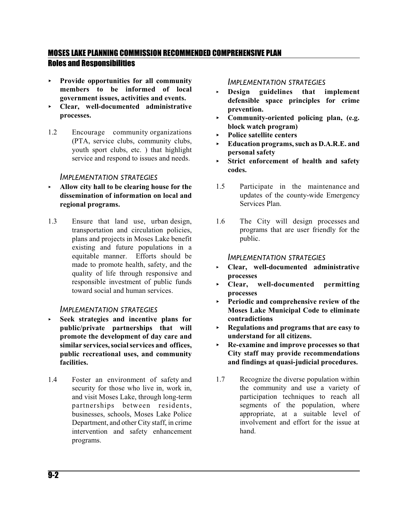# MOSES LAKE PLANNING COMMISSION RECOMMENDED COMPREHENSIVE PLAN Roles and Responsibilities

- < **Provide opportunities for all community members to be informed of local government issues, activities and events.**
- < **Clear, well-documented administrative processes.**
- 1.2 Encourage community organizations (PTA, service clubs, community clubs, youth sport clubs, etc. ) that highlight service and respond to issues and needs.

# *IMPLEMENTATION STRATEGIES*

- < **Allow city hall to be clearing house for the dissemination of information on local and regional programs.**
- 1.3 Ensure that land use, urban design, transportation and circulation policies, plans and projects in Moses Lake benefit existing and future populations in a equitable manner. Efforts should be made to promote health, safety, and the quality of life through responsive and responsible investment of public funds toward social and human services.

### *IMPLEMENTATION STRATEGIES*

- < **Seek strategies and incentive plans for public/private partnerships that will promote the development of day care and similar services,socialservices and offices, public recreational uses, and community facilities.**
- 1.4 Foster an environment of safety and security for those who live in, work in, and visit Moses Lake, through long-term partnerships between residents, businesses, schools, Moses Lake Police Department, and other City staff, in crime intervention and safety enhancement programs.

## *IMPLEMENTATION STRATEGIES*

- < **Design guidelines that implement defensible space principles for crime prevention.**
- < **Community-oriented policing plan, (e.g. block watch program)**
- < **Police satellite centers**
- < **Education programs, such as D.A.R.E. and personal safety**
- < **Strict enforcement of health and safety codes.**
- 1.5 Participate in the maintenance and updates of the county-wide Emergency Services Plan.
- 1.6 The City will design processes and programs that are user friendly for the public.

#### *IMPLEMENTATION STRATEGIES*

- < **Clear, well-documented administrative processes**
- < **Clear, well-documented permitting processes**
- < **Periodic and comprehensive review of the Moses Lake Municipal Code to eliminate contradictions**
- < **Regulations and programs that are easy to understand for all citizens.**
- < **Re-examine and improve processes so that City staff may provide recommendations and findings at quasi-judicial procedures.**
- 1.7 Recognize the diverse population within the community and use a variety of participation techniques to reach all segments of the population, where appropriate, at a suitable level of involvement and effort for the issue at hand.